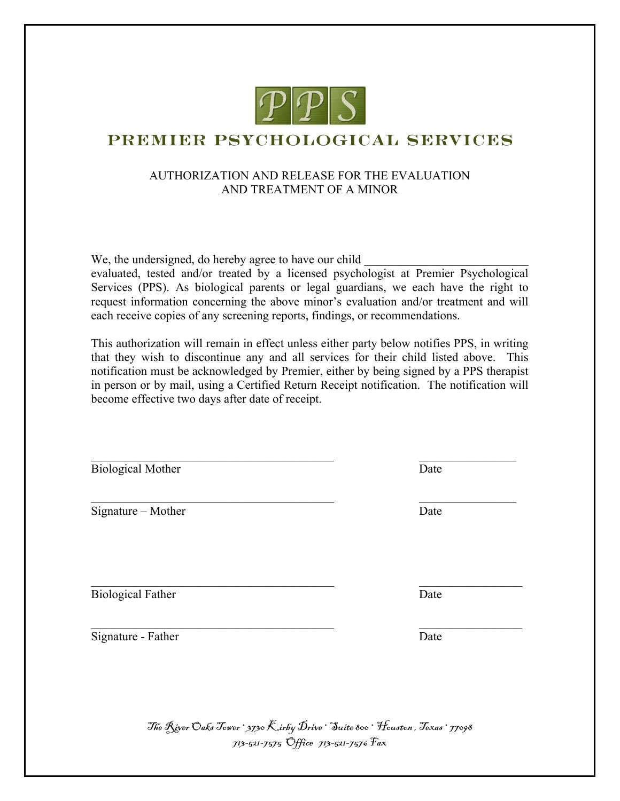

## PREMIER PSYCHOLOGICAL SERVICES

## AUTHORIZATION AND RELEASE FOR THE EVALUATION AND TREATMENT OF A MINOR

We, the undersigned, do hereby agree to have our child

evaluated, tested and/or treated by a licensed psychologist at Premier Psychological Services (PPS). As biological parents or legal guardians, we each have the right to request information concerning the above minor's evaluation and/or treatment and will each receive copies of any screening reports, findings, or recommendations.

This authorization will remain in effect unless either party below notifies PPS, in writing that they wish to discontinue any and all services for their child listed above. This notification must be acknowledged by Premier, either by being signed by a PPS therapist in person or by mail, using a Certified Return Receipt notification. The notification will become effective two days after date of receipt.

| Date |  |
|------|--|
| Date |  |
| Date |  |
| Date |  |
|      |  |

The River Oaks Tower · 3730 Kirby Drive · Suite 800 · Houston , Texas · 77098 713-521-7575 Office 713-521-7576 Fax